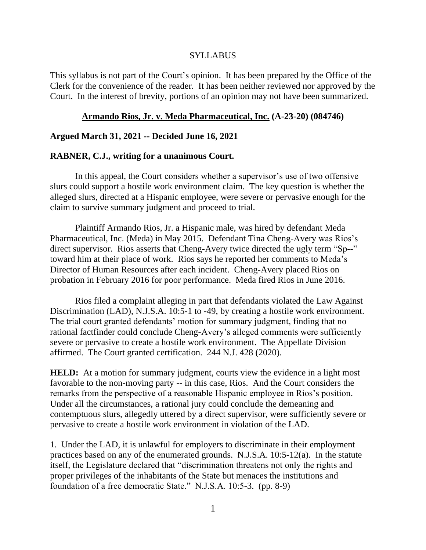### SYLLABUS

This syllabus is not part of the Court's opinion. It has been prepared by the Office of the Clerk for the convenience of the reader. It has been neither reviewed nor approved by the Court. In the interest of brevity, portions of an opinion may not have been summarized.

#### **Armando Rios, Jr. v. Meda Pharmaceutical, Inc. (A-23-20) (084746)**

#### **Argued March 31, 2021 -- Decided June 16, 2021**

#### **RABNER, C.J., writing for a unanimous Court.**

In this appeal, the Court considers whether a supervisor's use of two offensive slurs could support a hostile work environment claim. The key question is whether the alleged slurs, directed at a Hispanic employee, were severe or pervasive enough for the claim to survive summary judgment and proceed to trial.

Plaintiff Armando Rios, Jr. a Hispanic male, was hired by defendant Meda Pharmaceutical, Inc. (Meda) in May 2015. Defendant Tina Cheng-Avery was Rios's direct supervisor. Rios asserts that Cheng-Avery twice directed the ugly term "Sp--" toward him at their place of work. Rios says he reported her comments to Meda's Director of Human Resources after each incident. Cheng-Avery placed Rios on probation in February 2016 for poor performance. Meda fired Rios in June 2016.

Rios filed a complaint alleging in part that defendants violated the Law Against Discrimination (LAD), N.J.S.A. 10:5-1 to -49, by creating a hostile work environment. The trial court granted defendants' motion for summary judgment, finding that no rational factfinder could conclude Cheng-Avery's alleged comments were sufficiently severe or pervasive to create a hostile work environment. The Appellate Division affirmed. The Court granted certification. 244 N.J. 428 (2020).

**HELD:** At a motion for summary judgment, courts view the evidence in a light most favorable to the non-moving party -- in this case, Rios. And the Court considers the remarks from the perspective of a reasonable Hispanic employee in Rios's position. Under all the circumstances, a rational jury could conclude the demeaning and contemptuous slurs, allegedly uttered by a direct supervisor, were sufficiently severe or pervasive to create a hostile work environment in violation of the LAD.

1. Under the LAD, it is unlawful for employers to discriminate in their employment practices based on any of the enumerated grounds. N.J.S.A. 10:5-12(a). In the statute itself, the Legislature declared that "discrimination threatens not only the rights and proper privileges of the inhabitants of the State but menaces the institutions and foundation of a free democratic State." N.J.S.A. 10:5-3. (pp. 8-9)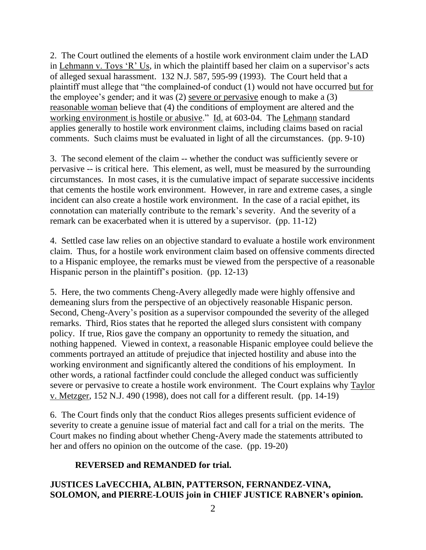2. The Court outlined the elements of a hostile work environment claim under the LAD in Lehmann v. Toys 'R' Us, in which the plaintiff based her claim on a supervisor's acts of alleged sexual harassment. 132 N.J. 587, 595-99 (1993). The Court held that a plaintiff must allege that "the complained-of conduct (1) would not have occurred but for the employee's gender; and it was (2) severe or pervasive enough to make a (3) reasonable woman believe that (4) the conditions of employment are altered and the working environment is hostile or abusive." Id. at 603-04. The Lehmann standard applies generally to hostile work environment claims, including claims based on racial comments. Such claims must be evaluated in light of all the circumstances. (pp. 9-10)

3. The second element of the claim -- whether the conduct was sufficiently severe or pervasive -- is critical here. This element, as well, must be measured by the surrounding circumstances. In most cases, it is the cumulative impact of separate successive incidents that cements the hostile work environment. However, in rare and extreme cases, a single incident can also create a hostile work environment. In the case of a racial epithet, its connotation can materially contribute to the remark's severity. And the severity of a remark can be exacerbated when it is uttered by a supervisor. (pp. 11-12)

4. Settled case law relies on an objective standard to evaluate a hostile work environment claim. Thus, for a hostile work environment claim based on offensive comments directed to a Hispanic employee, the remarks must be viewed from the perspective of a reasonable Hispanic person in the plaintiff's position. (pp. 12-13)

5. Here, the two comments Cheng-Avery allegedly made were highly offensive and demeaning slurs from the perspective of an objectively reasonable Hispanic person. Second, Cheng-Avery's position as a supervisor compounded the severity of the alleged remarks. Third, Rios states that he reported the alleged slurs consistent with company policy. If true, Rios gave the company an opportunity to remedy the situation, and nothing happened. Viewed in context, a reasonable Hispanic employee could believe the comments portrayed an attitude of prejudice that injected hostility and abuse into the working environment and significantly altered the conditions of his employment. In other words, a rational factfinder could conclude the alleged conduct was sufficiently severe or pervasive to create a hostile work environment. The Court explains why Taylor v. Metzger, 152 N.J. 490 (1998), does not call for a different result. (pp. 14-19)

6. The Court finds only that the conduct Rios alleges presents sufficient evidence of severity to create a genuine issue of material fact and call for a trial on the merits. The Court makes no finding about whether Cheng-Avery made the statements attributed to her and offers no opinion on the outcome of the case. (pp. 19-20)

## **REVERSED and REMANDED for trial.**

## **JUSTICES LaVECCHIA, ALBIN, PATTERSON, FERNANDEZ-VINA, SOLOMON, and PIERRE-LOUIS join in CHIEF JUSTICE RABNER's opinion.**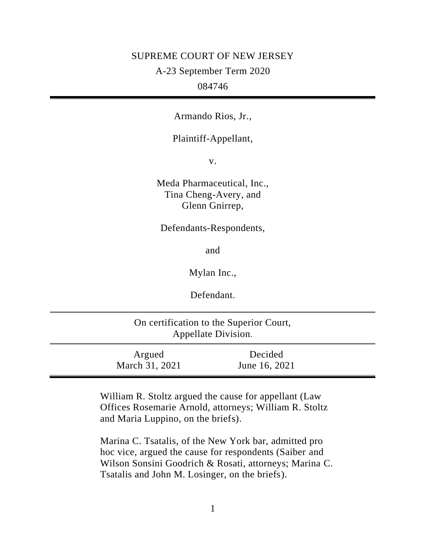### SUPREME COURT OF NEW JERSEY

A-23 September Term 2020

## 084746

Armando Rios, Jr.,

## Plaintiff-Appellant,

v.

Meda Pharmaceutical, Inc., Tina Cheng-Avery, and Glenn Gnirrep,

### Defendants-Respondents,

and

Mylan Inc.,

Defendant.

| On certification to the Superior Court,<br>Appellate Division. |                          |                          |  |
|----------------------------------------------------------------|--------------------------|--------------------------|--|
|                                                                | Argued<br>March 31, 2021 | Decided<br>June 16, 2021 |  |

William R. Stoltz argued the cause for appellant (Law Offices Rosemarie Arnold, attorneys; William R. Stoltz and Maria Luppino, on the briefs).

Marina C. Tsatalis, of the New York bar, admitted pro hoc vice, argued the cause for respondents (Saiber and Wilson Sonsini Goodrich & Rosati, attorneys; Marina C. Tsatalis and John M. Losinger, on the briefs).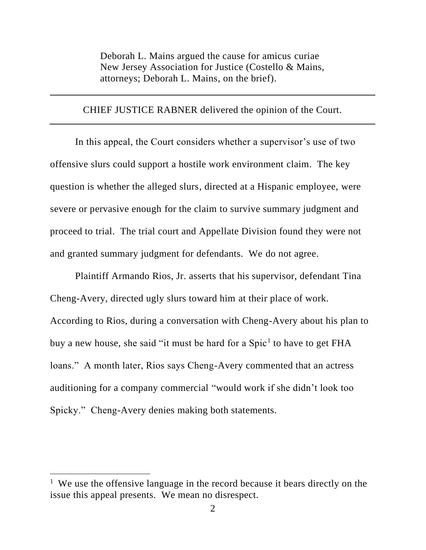Deborah L. Mains argued the cause for amicus curiae New Jersey Association for Justice (Costello & Mains, attorneys; Deborah L. Mains, on the brief).

### CHIEF JUSTICE RABNER delivered the opinion of the Court.

In this appeal, the Court considers whether a supervisor's use of two offensive slurs could support a hostile work environment claim. The key question is whether the alleged slurs, directed at a Hispanic employee, were severe or pervasive enough for the claim to survive summary judgment and proceed to trial. The trial court and Appellate Division found they were not and granted summary judgment for defendants. We do not agree.

Plaintiff Armando Rios, Jr. asserts that his supervisor, defendant Tina Cheng-Avery, directed ugly slurs toward him at their place of work. According to Rios, during a conversation with Cheng-Avery about his plan to buy a new house, she said "it must be hard for a Spic<sup>1</sup> to have to get FHA loans." A month later, Rios says Cheng-Avery commented that an actress auditioning for a company commercial "would work if she didn't look too Spicky." Cheng-Avery denies making both statements.

<sup>&</sup>lt;sup>1</sup> We use the offensive language in the record because it bears directly on the issue this appeal presents. We mean no disrespect.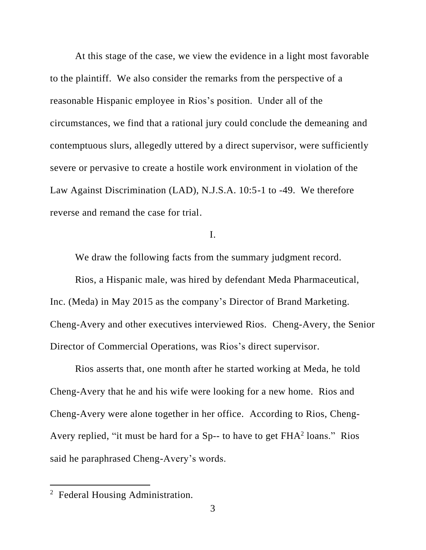At this stage of the case, we view the evidence in a light most favorable to the plaintiff. We also consider the remarks from the perspective of a reasonable Hispanic employee in Rios's position. Under all of the circumstances, we find that a rational jury could conclude the demeaning and contemptuous slurs, allegedly uttered by a direct supervisor, were sufficiently severe or pervasive to create a hostile work environment in violation of the Law Against Discrimination (LAD), N.J.S.A. 10:5-1 to -49. We therefore reverse and remand the case for trial.

I.

We draw the following facts from the summary judgment record.

Rios, a Hispanic male, was hired by defendant Meda Pharmaceutical, Inc. (Meda) in May 2015 as the company's Director of Brand Marketing. Cheng-Avery and other executives interviewed Rios. Cheng-Avery, the Senior Director of Commercial Operations, was Rios's direct supervisor.

Rios asserts that, one month after he started working at Meda, he told Cheng-Avery that he and his wife were looking for a new home. Rios and Cheng-Avery were alone together in her office. According to Rios, Cheng-Avery replied, "it must be hard for a Sp-- to have to get  $FHA<sup>2</sup>$  loans." Rios said he paraphrased Cheng-Avery's words.

<sup>&</sup>lt;sup>2</sup> Federal Housing Administration.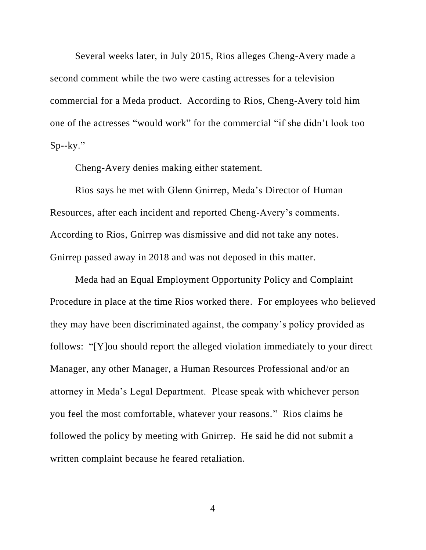Several weeks later, in July 2015, Rios alleges Cheng-Avery made a second comment while the two were casting actresses for a television commercial for a Meda product. According to Rios, Cheng-Avery told him one of the actresses "would work" for the commercial "if she didn't look too  $Sp-ky.$ "

Cheng-Avery denies making either statement.

Rios says he met with Glenn Gnirrep, Meda's Director of Human Resources, after each incident and reported Cheng-Avery's comments. According to Rios, Gnirrep was dismissive and did not take any notes. Gnirrep passed away in 2018 and was not deposed in this matter.

Meda had an Equal Employment Opportunity Policy and Complaint Procedure in place at the time Rios worked there. For employees who believed they may have been discriminated against, the company's policy provided as follows: "[Y]ou should report the alleged violation immediately to your direct Manager, any other Manager, a Human Resources Professional and/or an attorney in Meda's Legal Department. Please speak with whichever person you feel the most comfortable, whatever your reasons." Rios claims he followed the policy by meeting with Gnirrep. He said he did not submit a written complaint because he feared retaliation.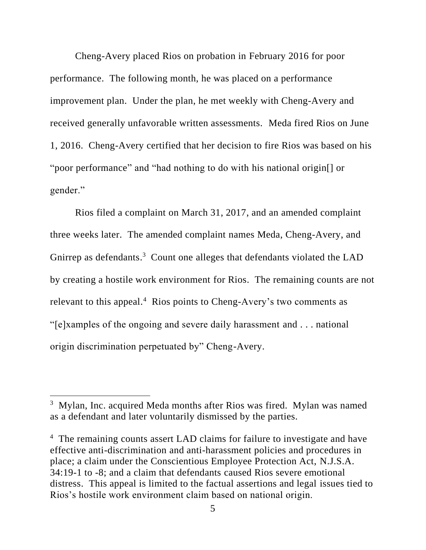Cheng-Avery placed Rios on probation in February 2016 for poor performance. The following month, he was placed on a performance improvement plan. Under the plan, he met weekly with Cheng-Avery and received generally unfavorable written assessments. Meda fired Rios on June 1, 2016. Cheng-Avery certified that her decision to fire Rios was based on his "poor performance" and "had nothing to do with his national origin[] or gender."

Rios filed a complaint on March 31, 2017, and an amended complaint three weeks later. The amended complaint names Meda, Cheng-Avery, and Gnirrep as defendants.<sup>3</sup> Count one alleges that defendants violated the LAD by creating a hostile work environment for Rios. The remaining counts are not relevant to this appeal.<sup>4</sup> Rios points to Cheng-Avery's two comments as "[e]xamples of the ongoing and severe daily harassment and . . . national origin discrimination perpetuated by" Cheng-Avery.

<sup>&</sup>lt;sup>3</sup> Mylan, Inc. acquired Meda months after Rios was fired. Mylan was named as a defendant and later voluntarily dismissed by the parties.

<sup>&</sup>lt;sup>4</sup> The remaining counts assert LAD claims for failure to investigate and have effective anti-discrimination and anti-harassment policies and procedures in place; a claim under the Conscientious Employee Protection Act, N.J.S.A. 34:19-1 to -8; and a claim that defendants caused Rios severe emotional distress. This appeal is limited to the factual assertions and legal issues tied to Rios's hostile work environment claim based on national origin.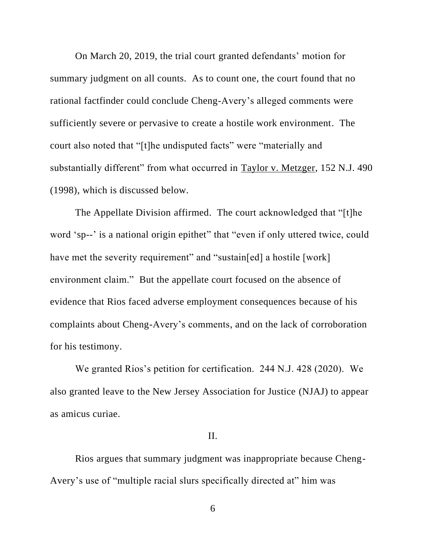On March 20, 2019, the trial court granted defendants' motion for summary judgment on all counts. As to count one, the court found that no rational factfinder could conclude Cheng-Avery's alleged comments were sufficiently severe or pervasive to create a hostile work environment. The court also noted that "[t]he undisputed facts" were "materially and substantially different" from what occurred in Taylor v. Metzger, 152 N.J. 490 (1998), which is discussed below.

The Appellate Division affirmed. The court acknowledged that "[t]he word 'sp--' is a national origin epithet" that "even if only uttered twice, could have met the severity requirement" and "sustain[ed] a hostile [work] environment claim." But the appellate court focused on the absence of evidence that Rios faced adverse employment consequences because of his complaints about Cheng-Avery's comments, and on the lack of corroboration for his testimony.

We granted Rios's petition for certification. 244 N.J. 428 (2020). We also granted leave to the New Jersey Association for Justice (NJAJ) to appear as amicus curiae.

### II.

Rios argues that summary judgment was inappropriate because Cheng-Avery's use of "multiple racial slurs specifically directed at" him was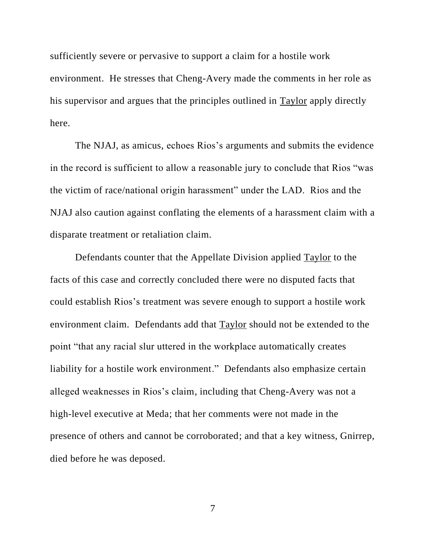sufficiently severe or pervasive to support a claim for a hostile work environment. He stresses that Cheng-Avery made the comments in her role as his supervisor and argues that the principles outlined in Taylor apply directly here.

The NJAJ, as amicus, echoes Rios's arguments and submits the evidence in the record is sufficient to allow a reasonable jury to conclude that Rios "was the victim of race/national origin harassment" under the LAD. Rios and the NJAJ also caution against conflating the elements of a harassment claim with a disparate treatment or retaliation claim.

Defendants counter that the Appellate Division applied Taylor to the facts of this case and correctly concluded there were no disputed facts that could establish Rios's treatment was severe enough to support a hostile work environment claim. Defendants add that Taylor should not be extended to the point "that any racial slur uttered in the workplace automatically creates liability for a hostile work environment." Defendants also emphasize certain alleged weaknesses in Rios's claim, including that Cheng-Avery was not a high-level executive at Meda; that her comments were not made in the presence of others and cannot be corroborated; and that a key witness, Gnirrep, died before he was deposed.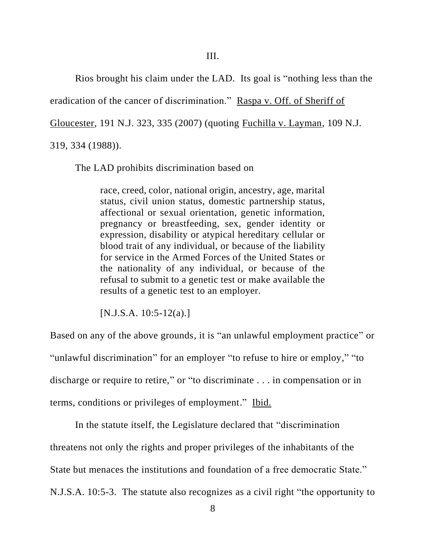Rios brought his claim under the LAD. Its goal is "nothing less than the

eradication of the cancer of discrimination." Raspa v. Off. of Sheriff of

Gloucester, 191 N.J. 323, 335 (2007) (quoting Fuchilla v. Layman, 109 N.J.

319, 334 (1988)).

The LAD prohibits discrimination based on

race, creed, color, national origin, ancestry, age, marital status, civil union status, domestic partnership status, affectional or sexual orientation, genetic information, pregnancy or breastfeeding, sex, gender identity or expression, disability or atypical hereditary cellular or blood trait of any individual, or because of the liability for service in the Armed Forces of the United States or the nationality of any individual, or because of the refusal to submit to a genetic test or make available the results of a genetic test to an employer.

[N.J.S.A. 10:5-12(a).]

Based on any of the above grounds, it is "an unlawful employment practice" or "unlawful discrimination" for an employer "to refuse to hire or employ," "to discharge or require to retire," or "to discriminate . . . in compensation or in terms, conditions or privileges of employment." Ibid.

In the statute itself, the Legislature declared that "discrimination

threatens not only the rights and proper privileges of the inhabitants of the

State but menaces the institutions and foundation of a free democratic State."

N.J.S.A. 10:5-3. The statute also recognizes as a civil right "the opportunity to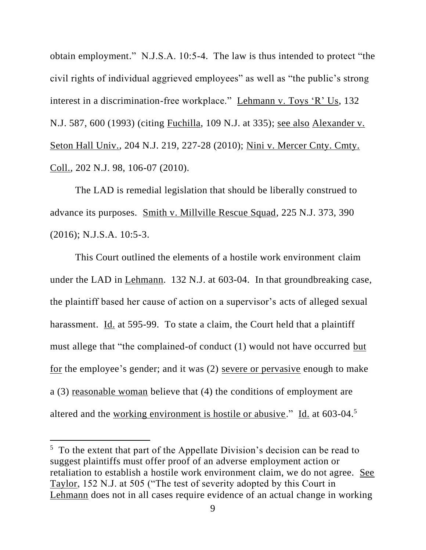obtain employment." N.J.S.A. 10:5-4. The law is thus intended to protect "the civil rights of individual aggrieved employees" as well as "the public's strong interest in a discrimination-free workplace." Lehmann v. Toys 'R' Us, 132 N.J. 587, 600 (1993) (citing Fuchilla, 109 N.J. at 335); see also Alexander v. Seton Hall Univ., 204 N.J. 219, 227-28 (2010); Nini v. Mercer Cnty. Cmty. Coll., 202 N.J. 98, 106-07 (2010).

The LAD is remedial legislation that should be liberally construed to advance its purposes. Smith v. Millville Rescue Squad, 225 N.J. 373, 390 (2016); N.J.S.A. 10:5-3.

This Court outlined the elements of a hostile work environment claim under the LAD in Lehmann. 132 N.J. at 603-04. In that groundbreaking case, the plaintiff based her cause of action on a supervisor's acts of alleged sexual harassment. Id. at 595-99. To state a claim, the Court held that a plaintiff must allege that "the complained-of conduct (1) would not have occurred but for the employee's gender; and it was (2) severe or pervasive enough to make a (3) reasonable woman believe that (4) the conditions of employment are altered and the working environment is hostile or abusive." Id. at 603-04.<sup>5</sup>

<sup>&</sup>lt;sup>5</sup> To the extent that part of the Appellate Division's decision can be read to suggest plaintiffs must offer proof of an adverse employment action or retaliation to establish a hostile work environment claim, we do not agree. See Taylor, 152 N.J. at 505 ("The test of severity adopted by this Court in Lehmann does not in all cases require evidence of an actual change in working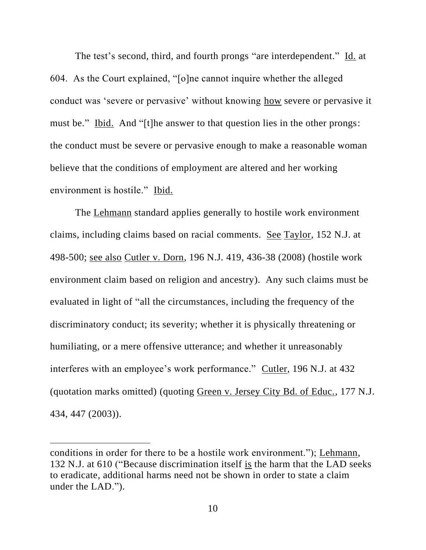The test's second, third, and fourth prongs "are interdependent." Id. at 604. As the Court explained, "[o]ne cannot inquire whether the alleged conduct was 'severe or pervasive' without knowing how severe or pervasive it must be." Ibid. And "[t]he answer to that question lies in the other prongs: the conduct must be severe or pervasive enough to make a reasonable woman believe that the conditions of employment are altered and her working environment is hostile." Ibid.

The Lehmann standard applies generally to hostile work environment claims, including claims based on racial comments. See Taylor, 152 N.J. at 498-500; see also Cutler v. Dorn, 196 N.J. 419, 436-38 (2008) (hostile work environment claim based on religion and ancestry). Any such claims must be evaluated in light of "all the circumstances, including the frequency of the discriminatory conduct; its severity; whether it is physically threatening or humiliating, or a mere offensive utterance; and whether it unreasonably interferes with an employee's work performance." Cutler, 196 N.J. at 432 (quotation marks omitted) (quoting Green v. Jersey City Bd. of Educ., 177 N.J. 434, 447 (2003)).

conditions in order for there to be a hostile work environment."); Lehmann, 132 N.J. at 610 ("Because discrimination itself is the harm that the LAD seeks to eradicate, additional harms need not be shown in order to state a claim under the LAD.").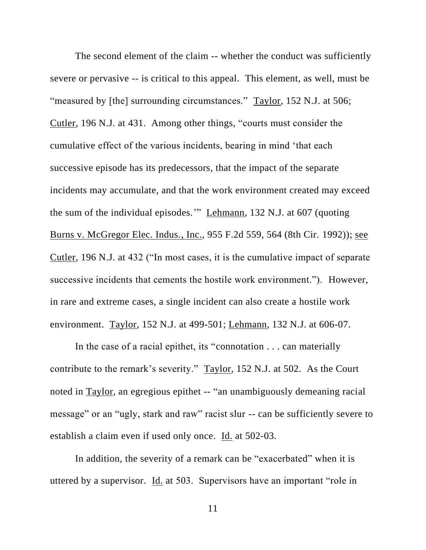The second element of the claim -- whether the conduct was sufficiently severe or pervasive -- is critical to this appeal. This element, as well, must be "measured by [the] surrounding circumstances." Taylor, 152 N.J. at 506; Cutler, 196 N.J. at 431. Among other things, "courts must consider the cumulative effect of the various incidents, bearing in mind 'that each successive episode has its predecessors, that the impact of the separate incidents may accumulate, and that the work environment created may exceed the sum of the individual episodes.'" Lehmann, 132 N.J. at 607 (quoting Burns v. McGregor Elec. Indus., Inc., 955 F.2d 559, 564 (8th Cir. 1992)); see Cutler, 196 N.J. at 432 ("In most cases, it is the cumulative impact of separate successive incidents that cements the hostile work environment."). However, in rare and extreme cases, a single incident can also create a hostile work environment. Taylor, 152 N.J. at 499-501; Lehmann, 132 N.J. at 606-07.

In the case of a racial epithet, its "connotation . . . can materially contribute to the remark's severity." Taylor, 152 N.J. at 502. As the Court noted in Taylor, an egregious epithet -- "an unambiguously demeaning racial message" or an "ugly, stark and raw" racist slur -- can be sufficiently severe to establish a claim even if used only once. Id. at 502-03.

In addition, the severity of a remark can be "exacerbated" when it is uttered by a supervisor. Id. at 503. Supervisors have an important "role in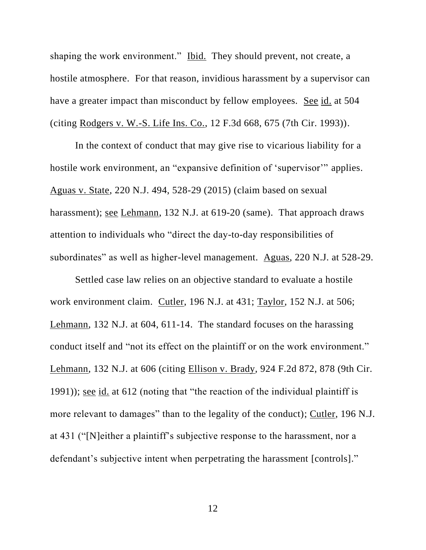shaping the work environment." Ibid. They should prevent, not create, a hostile atmosphere. For that reason, invidious harassment by a supervisor can have a greater impact than misconduct by fellow employees. See id. at 504 (citing Rodgers v. W.-S. Life Ins. Co., 12 F.3d 668, 675 (7th Cir. 1993)).

In the context of conduct that may give rise to vicarious liability for a hostile work environment, an "expansive definition of 'supervisor'" applies. Aguas v. State, 220 N.J. 494, 528-29 (2015) (claim based on sexual harassment); see Lehmann, 132 N.J. at 619-20 (same). That approach draws attention to individuals who "direct the day-to-day responsibilities of subordinates" as well as higher-level management. Aguas, 220 N.J. at 528-29.

Settled case law relies on an objective standard to evaluate a hostile work environment claim. Cutler, 196 N.J. at 431; Taylor, 152 N.J. at 506; Lehmann, 132 N.J. at 604, 611-14. The standard focuses on the harassing conduct itself and "not its effect on the plaintiff or on the work environment." Lehmann, 132 N.J. at 606 (citing Ellison v. Brady, 924 F.2d 872, 878 (9th Cir. 1991)); see id. at 612 (noting that "the reaction of the individual plaintiff is more relevant to damages" than to the legality of the conduct); Cutler, 196 N.J. at 431 ("[N]either a plaintiff's subjective response to the harassment, nor a defendant's subjective intent when perpetrating the harassment [controls]."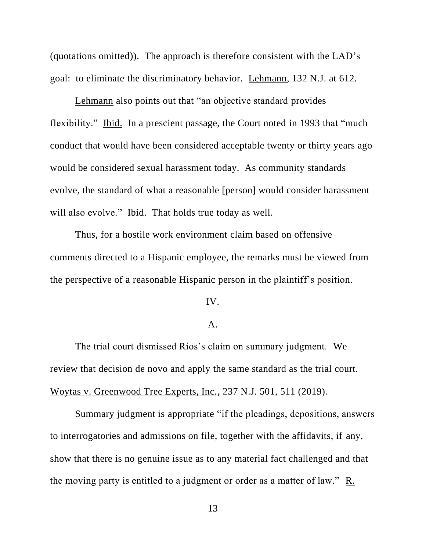(quotations omitted)). The approach is therefore consistent with the LAD's goal: to eliminate the discriminatory behavior. Lehmann, 132 N.J. at 612.

Lehmann also points out that "an objective standard provides flexibility." Ibid. In a prescient passage, the Court noted in 1993 that "much conduct that would have been considered acceptable twenty or thirty years ago would be considered sexual harassment today. As community standards evolve, the standard of what a reasonable [person] would consider harassment will also evolve." Ibid. That holds true today as well.

Thus, for a hostile work environment claim based on offensive comments directed to a Hispanic employee, the remarks must be viewed from the perspective of a reasonable Hispanic person in the plaintiff's position.

IV.

### A.

The trial court dismissed Rios's claim on summary judgment. We review that decision de novo and apply the same standard as the trial court. Woytas v. Greenwood Tree Experts, Inc., 237 N.J. 501, 511 (2019).

Summary judgment is appropriate "if the pleadings, depositions, answers to interrogatories and admissions on file, together with the affidavits, if any, show that there is no genuine issue as to any material fact challenged and that the moving party is entitled to a judgment or order as a matter of law." R.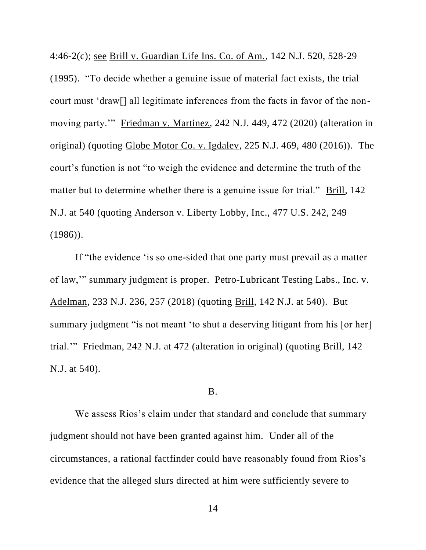4:46-2(c); see Brill v. Guardian Life Ins. Co. of Am., 142 N.J. 520, 528-29 (1995). "To decide whether a genuine issue of material fact exists, the trial court must 'draw[] all legitimate inferences from the facts in favor of the nonmoving party.'" Friedman v. Martinez, 242 N.J. 449, 472 (2020) (alteration in original) (quoting Globe Motor Co. v. Igdalev, 225 N.J. 469, 480 (2016)). The court's function is not "to weigh the evidence and determine the truth of the matter but to determine whether there is a genuine issue for trial." Brill, 142 N.J. at 540 (quoting Anderson v. Liberty Lobby, Inc., 477 U.S. 242, 249 (1986)).

If "the evidence 'is so one-sided that one party must prevail as a matter of law,'" summary judgment is proper. Petro-Lubricant Testing Labs., Inc. v. Adelman, 233 N.J. 236, 257 (2018) (quoting Brill, 142 N.J. at 540). But summary judgment "is not meant 'to shut a deserving litigant from his [or her] trial.'" Friedman, 242 N.J. at 472 (alteration in original) (quoting Brill, 142 N.J. at 540).

### B.

We assess Rios's claim under that standard and conclude that summary judgment should not have been granted against him. Under all of the circumstances, a rational factfinder could have reasonably found from Rios's evidence that the alleged slurs directed at him were sufficiently severe to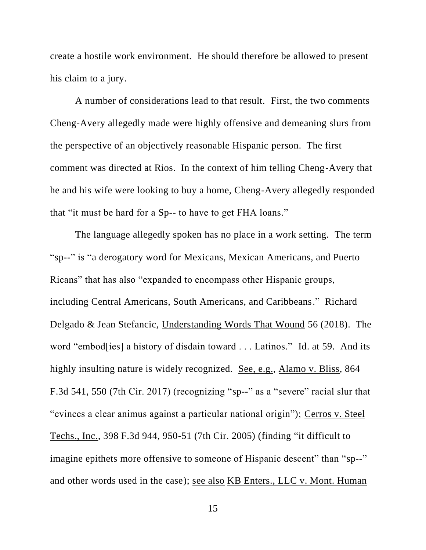create a hostile work environment. He should therefore be allowed to present his claim to a jury.

A number of considerations lead to that result. First, the two comments Cheng-Avery allegedly made were highly offensive and demeaning slurs from the perspective of an objectively reasonable Hispanic person. The first comment was directed at Rios. In the context of him telling Cheng-Avery that he and his wife were looking to buy a home, Cheng-Avery allegedly responded that "it must be hard for a Sp-- to have to get FHA loans."

The language allegedly spoken has no place in a work setting. The term "sp--" is "a derogatory word for Mexicans, Mexican Americans, and Puerto Ricans" that has also "expanded to encompass other Hispanic groups, including Central Americans, South Americans, and Caribbeans." Richard Delgado & Jean Stefancic, Understanding Words That Wound 56 (2018). The word "embod[ies] a history of disdain toward . . . Latinos." Id. at 59. And its highly insulting nature is widely recognized. See, e.g., Alamo v. Bliss, 864 F.3d 541, 550 (7th Cir. 2017) (recognizing "sp--" as a "severe" racial slur that "evinces a clear animus against a particular national origin"); Cerros v. Steel Techs., Inc., 398 F.3d 944, 950-51 (7th Cir. 2005) (finding "it difficult to imagine epithets more offensive to someone of Hispanic descent" than "sp--" and other words used in the case); see also KB Enters., LLC v. Mont. Human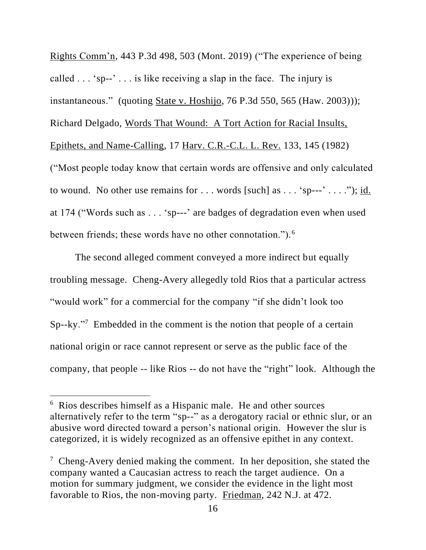Rights Comm'n, 443 P.3d 498, 503 (Mont. 2019) ("The experience of being called  $\dots$  'sp--'  $\dots$  is like receiving a slap in the face. The injury is instantaneous." (quoting State v. Hoshijo, 76 P.3d 550, 565 (Haw. 2003))); Richard Delgado, Words That Wound: A Tort Action for Racial Insults, Epithets, and Name-Calling, 17 Harv. C.R.-C.L. L. Rev. 133, 145 (1982) ("Most people today know that certain words are offensive and only calculated to wound. No other use remains for  $\dots$  words [such] as  $\dots$  'sp---'  $\dots$  ."); id. at 174 ("Words such as . . . 'sp---' are badges of degradation even when used between friends; these words have no other connotation.").<sup>6</sup>

The second alleged comment conveyed a more indirect but equally troubling message. Cheng-Avery allegedly told Rios that a particular actress "would work" for a commercial for the company "if she didn't look too Sp--ky."<sup>7</sup> Embedded in the comment is the notion that people of a certain national origin or race cannot represent or serve as the public face of the company, that people -- like Rios -- do not have the "right" look. Although the

<sup>6</sup> Rios describes himself as a Hispanic male. He and other sources alternatively refer to the term "sp--" as a derogatory racial or ethnic slur, or an abusive word directed toward a person's national origin. However the slur is categorized, it is widely recognized as an offensive epithet in any context.

<sup>7</sup> Cheng-Avery denied making the comment. In her deposition, she stated the company wanted a Caucasian actress to reach the target audience. On a motion for summary judgment, we consider the evidence in the light most favorable to Rios, the non-moving party. Friedman, 242 N.J. at 472.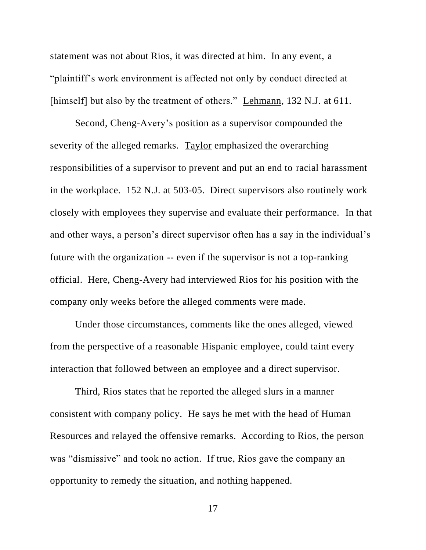statement was not about Rios, it was directed at him. In any event, a "plaintiff's work environment is affected not only by conduct directed at [himself] but also by the treatment of others." Lehmann, 132 N.J. at 611.

Second, Cheng-Avery's position as a supervisor compounded the severity of the alleged remarks. Taylor emphasized the overarching responsibilities of a supervisor to prevent and put an end to racial harassment in the workplace. 152 N.J. at 503-05. Direct supervisors also routinely work closely with employees they supervise and evaluate their performance. In that and other ways, a person's direct supervisor often has a say in the individual's future with the organization -- even if the supervisor is not a top-ranking official. Here, Cheng-Avery had interviewed Rios for his position with the company only weeks before the alleged comments were made.

Under those circumstances, comments like the ones alleged, viewed from the perspective of a reasonable Hispanic employee, could taint every interaction that followed between an employee and a direct supervisor.

Third, Rios states that he reported the alleged slurs in a manner consistent with company policy. He says he met with the head of Human Resources and relayed the offensive remarks. According to Rios, the person was "dismissive" and took no action. If true, Rios gave the company an opportunity to remedy the situation, and nothing happened.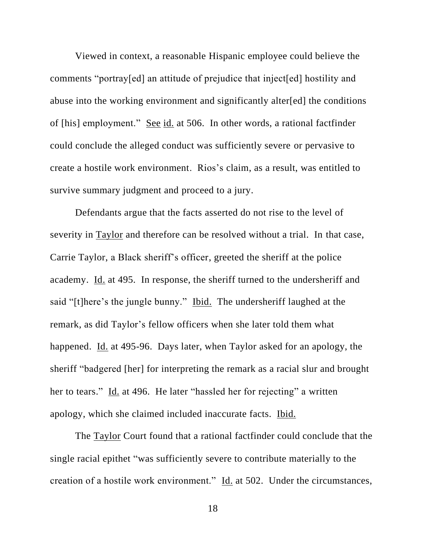Viewed in context, a reasonable Hispanic employee could believe the comments "portray[ed] an attitude of prejudice that inject[ed] hostility and abuse into the working environment and significantly alter[ed] the conditions of [his] employment." See id. at 506. In other words, a rational factfinder could conclude the alleged conduct was sufficiently severe or pervasive to create a hostile work environment. Rios's claim, as a result, was entitled to survive summary judgment and proceed to a jury.

Defendants argue that the facts asserted do not rise to the level of severity in Taylor and therefore can be resolved without a trial. In that case, Carrie Taylor, a Black sheriff's officer, greeted the sheriff at the police academy. Id. at 495. In response, the sheriff turned to the undersheriff and said "[t]here's the jungle bunny." Ibid. The undersheriff laughed at the remark, as did Taylor's fellow officers when she later told them what happened. Id. at 495-96. Days later, when Taylor asked for an apology, the sheriff "badgered [her] for interpreting the remark as a racial slur and brought her to tears." Id. at 496. He later "hassled her for rejecting" a written apology, which she claimed included inaccurate facts. Ibid.

The Taylor Court found that a rational factfinder could conclude that the single racial epithet "was sufficiently severe to contribute materially to the creation of a hostile work environment." Id. at 502. Under the circumstances,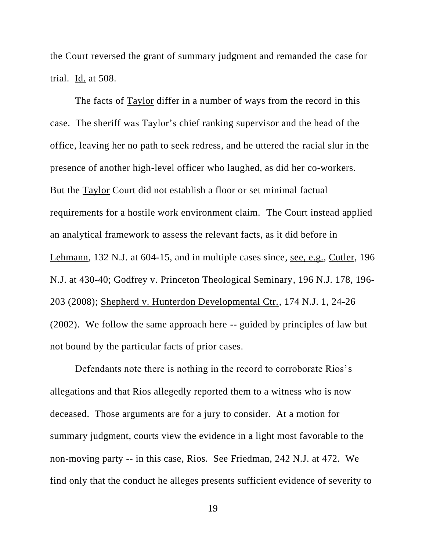the Court reversed the grant of summary judgment and remanded the case for trial. Id. at 508.

The facts of Taylor differ in a number of ways from the record in this case. The sheriff was Taylor's chief ranking supervisor and the head of the office, leaving her no path to seek redress, and he uttered the racial slur in the presence of another high-level officer who laughed, as did her co-workers. But the Taylor Court did not establish a floor or set minimal factual requirements for a hostile work environment claim. The Court instead applied an analytical framework to assess the relevant facts, as it did before in Lehmann, 132 N.J. at 604-15, and in multiple cases since, see, e.g., Cutler, 196 N.J. at 430-40; Godfrey v. Princeton Theological Seminary, 196 N.J. 178, 196- 203 (2008); Shepherd v. Hunterdon Developmental Ctr., 174 N.J. 1, 24-26 (2002). We follow the same approach here -- guided by principles of law but not bound by the particular facts of prior cases.

Defendants note there is nothing in the record to corroborate Rios's allegations and that Rios allegedly reported them to a witness who is now deceased. Those arguments are for a jury to consider. At a motion for summary judgment, courts view the evidence in a light most favorable to the non-moving party -- in this case, Rios. See Friedman, 242 N.J. at 472. We find only that the conduct he alleges presents sufficient evidence of severity to